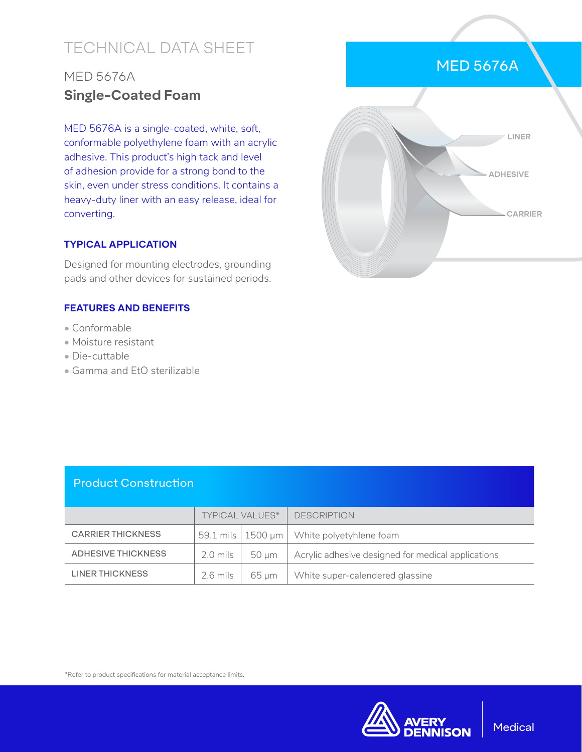# TECHNICAL DATA SHEET

## MED 5676A **Single-Coated Foam**

MED 5676A is a single-coated, white, soft, conformable polyethylene foam with an acrylic adhesive. This product's high tack and level of adhesion provide for a strong bond to the skin, even under stress conditions. It contains a heavy-duty liner with an easy release, ideal for converting.

#### **TYPICAL APPLICATION**

Designed for mounting electrodes, grounding pads and other devices for sustained periods.

#### **FEATURES AND BENEFITS**

- Conformable
- Moisture resistant
- Die-cuttable
- Gamma and EtO sterilizable

|  |          | LINER     |
|--|----------|-----------|
|  | ADHESIVE |           |
|  |          | - CARRIER |
|  |          |           |

MED 5676A

### Product Construction

|                          | TYPICAL VALUES* |            | <b>DESCRIPTION</b>                                 |
|--------------------------|-----------------|------------|----------------------------------------------------|
| <b>CARRIER THICKNESS</b> |                 |            | 59.1 mils   1500 µm   White polyetyhlene foam      |
| ADHESIVE THICKNESS       | 2.0 mils        | 50 um      | Acrylic adhesive designed for medical applications |
| LINER THICKNESS          | $2.6$ mils      | $65 \mu m$ | White super-calendered glassine                    |

\*Refer to product specifications for material acceptance limits.